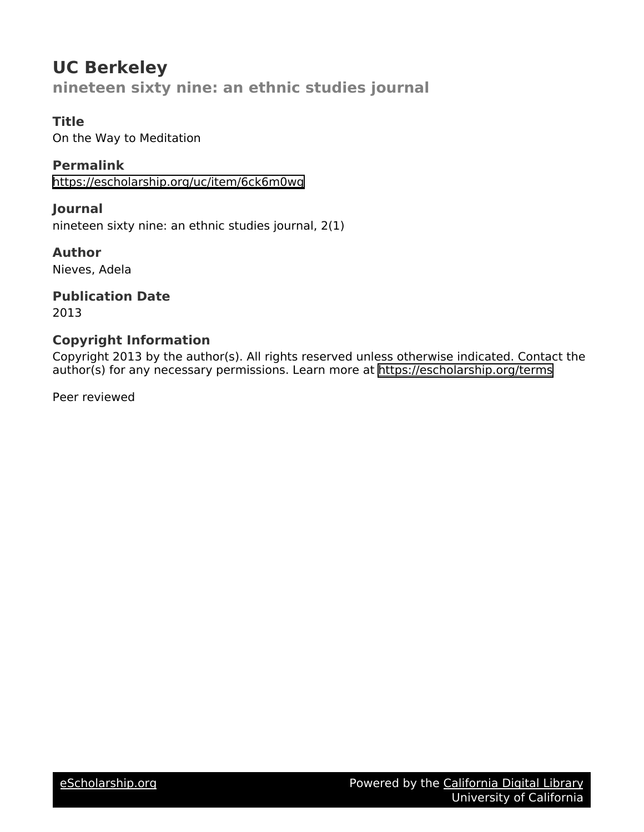# **UC Berkeley nineteen sixty nine: an ethnic studies journal**

### **Title**

On the Way to Meditation

**Permalink** <https://escholarship.org/uc/item/6ck6m0wg>

**Journal** nineteen sixty nine: an ethnic studies journal, 2(1)

**Author** Nieves, Adela

**Publication Date** 2013

## **Copyright Information**

Copyright 2013 by the author(s). All rights reserved unless otherwise indicated. Contact the author(s) for any necessary permissions. Learn more at <https://escholarship.org/terms>

Peer reviewed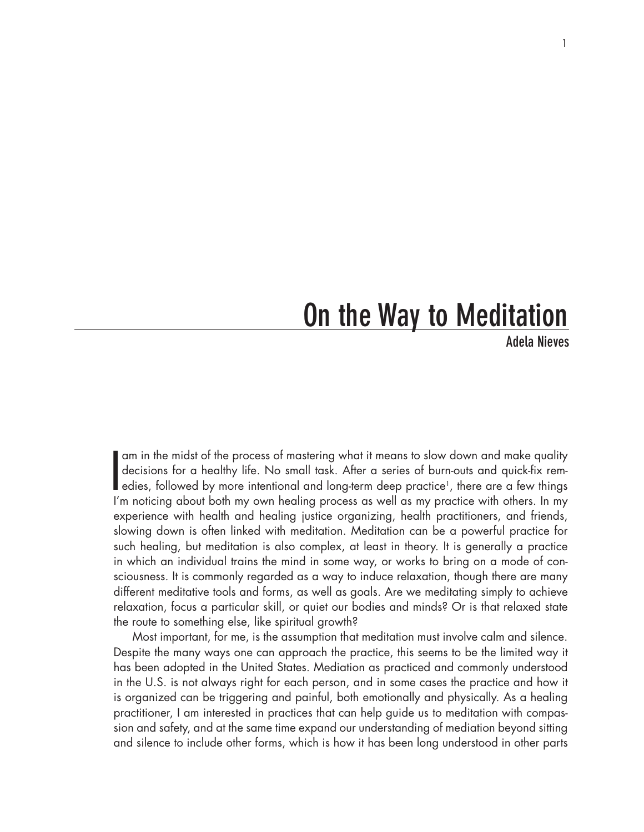# On the Way to Meditation

Adela Nieves

I am in the midst of the process of mastering what it means to slow down and make quality<br>decisions for a healthy life. No small task. After a series of burn-outs and quick-fix rem-<br>edies, followed by more intentional and decisions for a healthy life. No small task. After a series of burn-outs and quick-fix remedies, followed by more intentional and long-term deep practice<sup>1</sup>, there are a few things I'm noticing about both my own healing process as well as my practice with others. In my experience with health and healing justice organizing, health practitioners, and friends, slowing down is often linked with meditation. Meditation can be a powerful practice for such healing, but meditation is also complex, at least in theory. It is generally a practice in which an individual trains the mind in some way, or works to bring on a mode of consciousness. It is commonly regarded as a way to induce relaxation, though there are many different meditative tools and forms, as well as goals. Are we meditating simply to achieve relaxation, focus a particular skill, or quiet our bodies and minds? Or is that relaxed state the route to something else, like spiritual growth?

Most important, for me, is the assumption that meditation must involve calm and silence. Despite the many ways one can approach the practice, this seems to be the limited way it has been adopted in the United States. Mediation as practiced and commonly understood in the U.S. is not always right for each person, and in some cases the practice and how it is organized can be triggering and painful, both emotionally and physically. As a healing practitioner, I am interested in practices that can help guide us to meditation with compassion and safety, and at the same time expand our understanding of mediation beyond sitting and silence to include other forms, which is how it has been long understood in other parts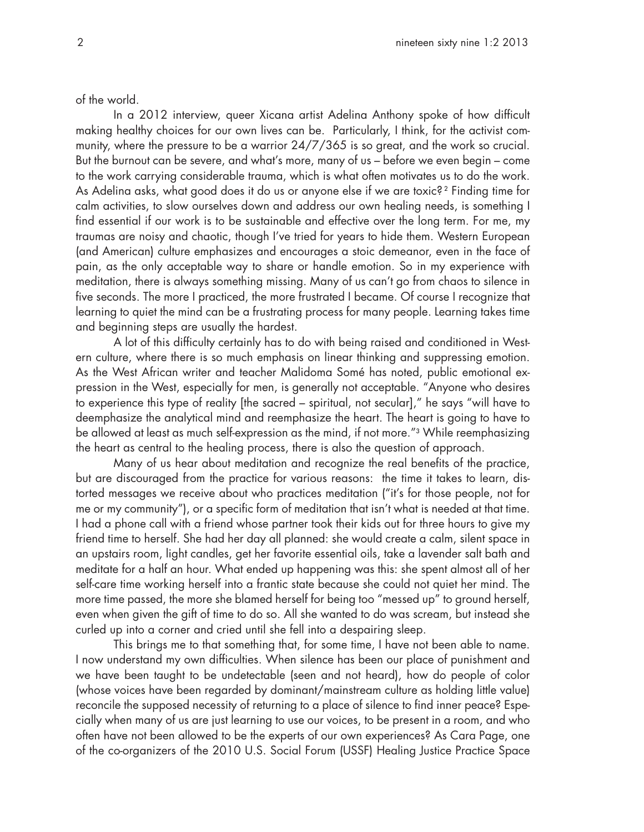of the world.

In a 2012 interview, queer Xicana artist Adelina Anthony spoke of how difficult making healthy choices for our own lives can be. Particularly, I think, for the activist community, where the pressure to be a warrior 24/7/365 is so great, and the work so crucial. But the burnout can be severe, and what's more, many of us – before we even begin – come to the work carrying considerable trauma, which is what often motivates us to do the work. As Adelina asks, what good does it do us or anyone else if we are toxic? 2 Finding time for calm activities, to slow ourselves down and address our own healing needs, is something I find essential if our work is to be sustainable and effective over the long term. For me, my traumas are noisy and chaotic, though I've tried for years to hide them. Western European (and American) culture emphasizes and encourages a stoic demeanor, even in the face of pain, as the only acceptable way to share or handle emotion. So in my experience with meditation, there is always something missing. Many of us can't go from chaos to silence in five seconds. The more I practiced, the more frustrated I became. Of course I recognize that learning to quiet the mind can be a frustrating process for many people. Learning takes time and beginning steps are usually the hardest.

A lot of this difficulty certainly has to do with being raised and conditioned in Western culture, where there is so much emphasis on linear thinking and suppressing emotion. As the West African writer and teacher Malidoma Somé has noted, public emotional expression in the West, especially for men, is generally not acceptable. "Anyone who desires to experience this type of reality [the sacred – spiritual, not secular]," he says "will have to deemphasize the analytical mind and reemphasize the heart. The heart is going to have to be allowed at least as much self-expression as the mind, if not more."3 While reemphasizing the heart as central to the healing process, there is also the question of approach.

Many of us hear about meditation and recognize the real benefits of the practice, but are discouraged from the practice for various reasons: the time it takes to learn, distorted messages we receive about who practices meditation ("it's for those people, not for me or my community"), or a specific form of meditation that isn't what is needed at that time. I had a phone call with a friend whose partner took their kids out for three hours to give my friend time to herself. She had her day all planned: she would create a calm, silent space in an upstairs room, light candles, get her favorite essential oils, take a lavender salt bath and meditate for a half an hour. What ended up happening was this: she spent almost all of her self-care time working herself into a frantic state because she could not quiet her mind. The more time passed, the more she blamed herself for being too "messed up" to ground herself, even when given the gift of time to do so. All she wanted to do was scream, but instead she curled up into a corner and cried until she fell into a despairing sleep.

This brings me to that something that, for some time, I have not been able to name. I now understand my own difficulties. When silence has been our place of punishment and we have been taught to be undetectable (seen and not heard), how do people of color (whose voices have been regarded by dominant/mainstream culture as holding little value) reconcile the supposed necessity of returning to a place of silence to find inner peace? Especially when many of us are just learning to use our voices, to be present in a room, and who often have not been allowed to be the experts of our own experiences? As Cara Page, one of the co-organizers of the 2010 U.S. Social Forum (USSF) Healing Justice Practice Space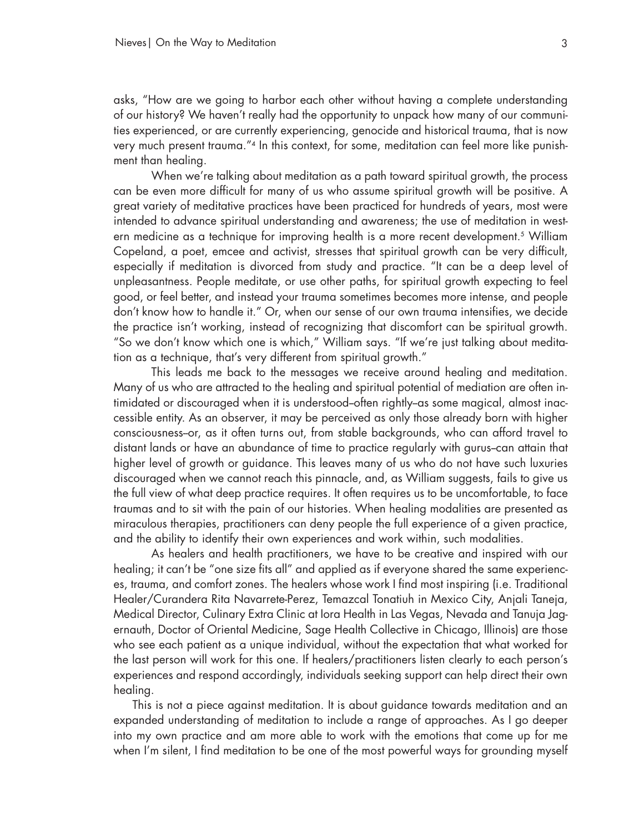asks, "How are we going to harbor each other without having a complete understanding of our history? We haven't really had the opportunity to unpack how many of our communities experienced, or are currently experiencing, genocide and historical trauma, that is now very much present trauma."4 In this context, for some, meditation can feel more like punishment than healing.

When we're talking about meditation as a path toward spiritual growth, the process can be even more difficult for many of us who assume spiritual growth will be positive. A great variety of meditative practices have been practiced for hundreds of years, most were intended to advance spiritual understanding and awareness; the use of meditation in western medicine as a technique for improving health is a more recent development.<sup>5</sup> William Copeland, a poet, emcee and activist, stresses that spiritual growth can be very difficult, especially if meditation is divorced from study and practice. "It can be a deep level of unpleasantness. People meditate, or use other paths, for spiritual growth expecting to feel good, or feel better, and instead your trauma sometimes becomes more intense, and people don't know how to handle it." Or, when our sense of our own trauma intensifies, we decide the practice isn't working, instead of recognizing that discomfort can be spiritual growth. "So we don't know which one is which," William says. "If we're just talking about meditation as a technique, that's very different from spiritual growth."

This leads me back to the messages we receive around healing and meditation. Many of us who are attracted to the healing and spiritual potential of mediation are often intimidated or discouraged when it is understood-often rightly-as some magical, almost inaccessible entity. As an observer, it may be perceived as only those already born with higher consciousness--or, as it often turns out, from stable backgrounds, who can afford travel to distant lands or have an abundance of time to practice regularly with gurus--can attain that higher level of growth or guidance. This leaves many of us who do not have such luxuries discouraged when we cannot reach this pinnacle, and, as William suggests, fails to give us the full view of what deep practice requires. It often requires us to be uncomfortable, to face traumas and to sit with the pain of our histories. When healing modalities are presented as miraculous therapies, practitioners can deny people the full experience of a given practice, and the ability to identify their own experiences and work within, such modalities.

As healers and health practitioners, we have to be creative and inspired with our healing; it can't be "one size fits all" and applied as if everyone shared the same experiences, trauma, and comfort zones. The healers whose work I find most inspiring (i.e. Traditional Healer/Curandera Rita Navarrete-Perez, Temazcal Tonatiuh in Mexico City, Anjali Taneja, Medical Director, Culinary Extra Clinic at Iora Health in Las Vegas, Nevada and Tanuja Jagernauth, Doctor of Oriental Medicine, Sage Health Collective in Chicago, Illinois) are those who see each patient as a unique individual, without the expectation that what worked for the last person will work for this one. If healers/practitioners listen clearly to each person's experiences and respond accordingly, individuals seeking support can help direct their own healing.

This is not a piece against meditation. It is about guidance towards meditation and an expanded understanding of meditation to include a range of approaches. As I go deeper into my own practice and am more able to work with the emotions that come up for me when I'm silent, I find meditation to be one of the most powerful ways for grounding myself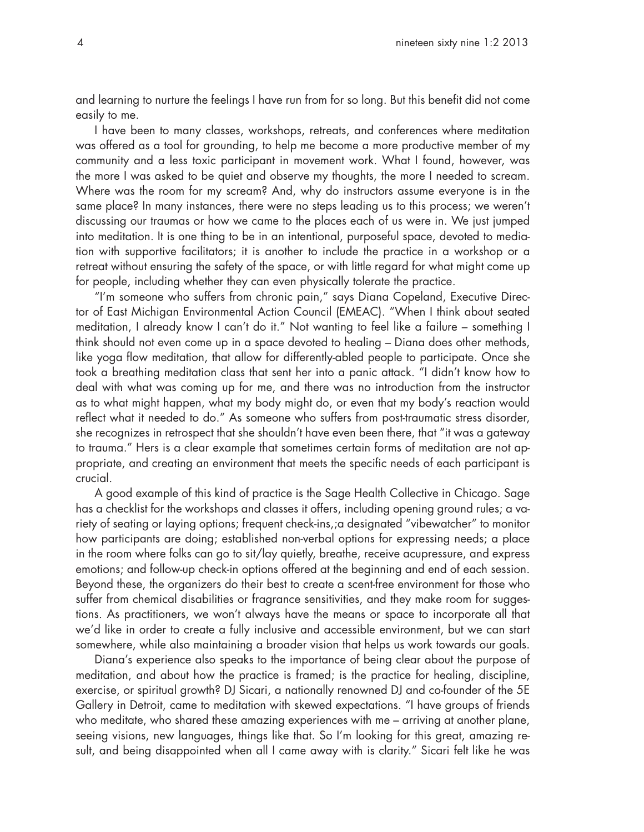and learning to nurture the feelings I have run from for so long. But this benefit did not come easily to me.

I have been to many classes, workshops, retreats, and conferences where meditation was offered as a tool for grounding, to help me become a more productive member of my community and a less toxic participant in movement work. What I found, however, was the more I was asked to be quiet and observe my thoughts, the more I needed to scream. Where was the room for my scream? And, why do instructors assume everyone is in the same place? In many instances, there were no steps leading us to this process; we weren't discussing our traumas or how we came to the places each of us were in. We just jumped into meditation. It is one thing to be in an intentional, purposeful space, devoted to mediation with supportive facilitators; it is another to include the practice in a workshop or a retreat without ensuring the safety of the space, or with little regard for what might come up for people, including whether they can even physically tolerate the practice.

"I'm someone who suffers from chronic pain," says Diana Copeland, Executive Director of East Michigan Environmental Action Council (EMEAC). "When I think about seated meditation, I already know I can't do it." Not wanting to feel like a failure – something I think should not even come up in a space devoted to healing – Diana does other methods, like yoga flow meditation, that allow for differently-abled people to participate. Once she took a breathing meditation class that sent her into a panic attack. "I didn't know how to deal with what was coming up for me, and there was no introduction from the instructor as to what might happen, what my body might do, or even that my body's reaction would reflect what it needed to do." As someone who suffers from post-traumatic stress disorder, she recognizes in retrospect that she shouldn't have even been there, that "it was a gateway to trauma." Hers is a clear example that sometimes certain forms of meditation are not appropriate, and creating an environment that meets the specific needs of each participant is crucial.

A good example of this kind of practice is the Sage Health Collective in Chicago. Sage has a checklist for the workshops and classes it offers, including opening ground rules; a variety of seating or laying options; frequent check-ins,;a designated "vibewatcher" to monitor how participants are doing; established non-verbal options for expressing needs; a place in the room where folks can go to sit/lay quietly, breathe, receive acupressure, and express emotions; and follow-up check-in options offered at the beginning and end of each session. Beyond these, the organizers do their best to create a scent-free environment for those who suffer from chemical disabilities or fragrance sensitivities, and they make room for suggestions. As practitioners, we won't always have the means or space to incorporate all that we'd like in order to create a fully inclusive and accessible environment, but we can start somewhere, while also maintaining a broader vision that helps us work towards our goals.

Diana's experience also speaks to the importance of being clear about the purpose of meditation, and about how the practice is framed; is the practice for healing, discipline, exercise, or spiritual growth? DJ Sicari, a nationally renowned DJ and co-founder of the 5E Gallery in Detroit, came to meditation with skewed expectations. "I have groups of friends who meditate, who shared these amazing experiences with me – arriving at another plane, seeing visions, new languages, things like that. So I'm looking for this great, amazing result, and being disappointed when all I came away with is clarity." Sicari felt like he was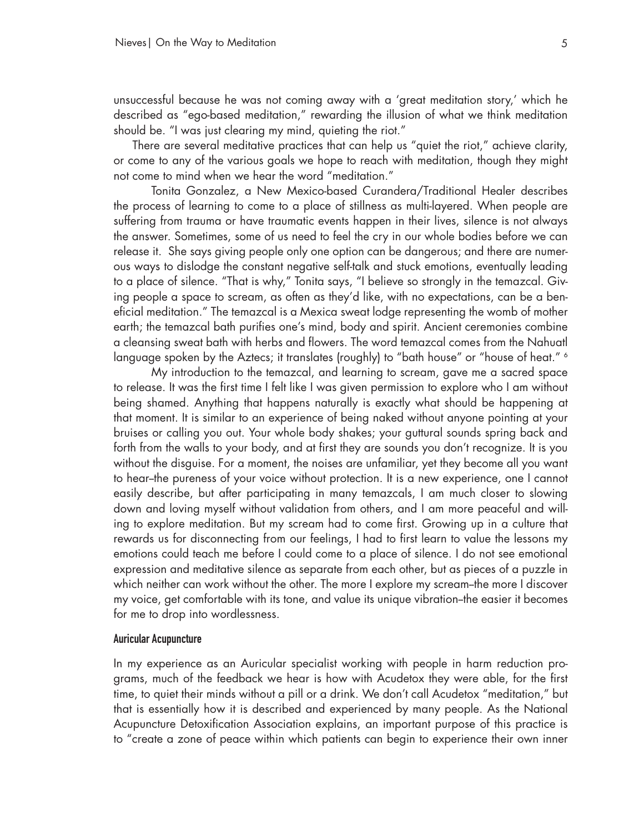unsuccessful because he was not coming away with a 'great meditation story,' which he described as "ego-based meditation," rewarding the illusion of what we think meditation should be. "I was just clearing my mind, quieting the riot."

There are several meditative practices that can help us "quiet the riot," achieve clarity, or come to any of the various goals we hope to reach with meditation, though they might not come to mind when we hear the word "meditation."

Tonita Gonzalez, a New Mexico-based Curandera/Traditional Healer describes the process of learning to come to a place of stillness as multi-layered. When people are suffering from trauma or have traumatic events happen in their lives, silence is not always the answer. Sometimes, some of us need to feel the cry in our whole bodies before we can release it. She says giving people only one option can be dangerous; and there are numerous ways to dislodge the constant negative self-talk and stuck emotions, eventually leading to a place of silence. "That is why," Tonita says, "I believe so strongly in the temazcal. Giving people a space to scream, as often as they'd like, with no expectations, can be a beneficial meditation." The temazcal is a Mexica sweat lodge representing the womb of mother earth; the temazcal bath purifies one's mind, body and spirit. Ancient ceremonies combine a cleansing sweat bath with herbs and flowers. The word temazcal comes from the Nahuatl language spoken by the Aztecs; it translates (roughly) to "bath house" or "house of heat." 6

My introduction to the temazcal, and learning to scream, gave me a sacred space to release. It was the first time I felt like I was given permission to explore who I am without being shamed. Anything that happens naturally is exactly what should be happening at that moment. It is similar to an experience of being naked without anyone pointing at your bruises or calling you out. Your whole body shakes; your guttural sounds spring back and forth from the walls to your body, and at first they are sounds you don't recognize. It is you without the disguise. For a moment, the noises are unfamiliar, yet they become all you want to hear--the pureness of your voice without protection. It is a new experience, one I cannot easily describe, but after participating in many temazcals, I am much closer to slowing down and loving myself without validation from others, and I am more peaceful and willing to explore meditation. But my scream had to come first. Growing up in a culture that rewards us for disconnecting from our feelings, I had to first learn to value the lessons my emotions could teach me before I could come to a place of silence. I do not see emotional expression and meditative silence as separate from each other, but as pieces of a puzzle in which neither can work without the other. The more I explore my scream-the more I discover my voice, get comfortable with its tone, and value its unique vibration--the easier it becomes for me to drop into wordlessness.

### Auricular Acupuncture

In my experience as an Auricular specialist working with people in harm reduction programs, much of the feedback we hear is how with Acudetox they were able, for the first time, to quiet their minds without a pill or a drink. We don't call Acudetox "meditation," but that is essentially how it is described and experienced by many people. As the National Acupuncture Detoxification Association explains, an important purpose of this practice is to "create a zone of peace within which patients can begin to experience their own inner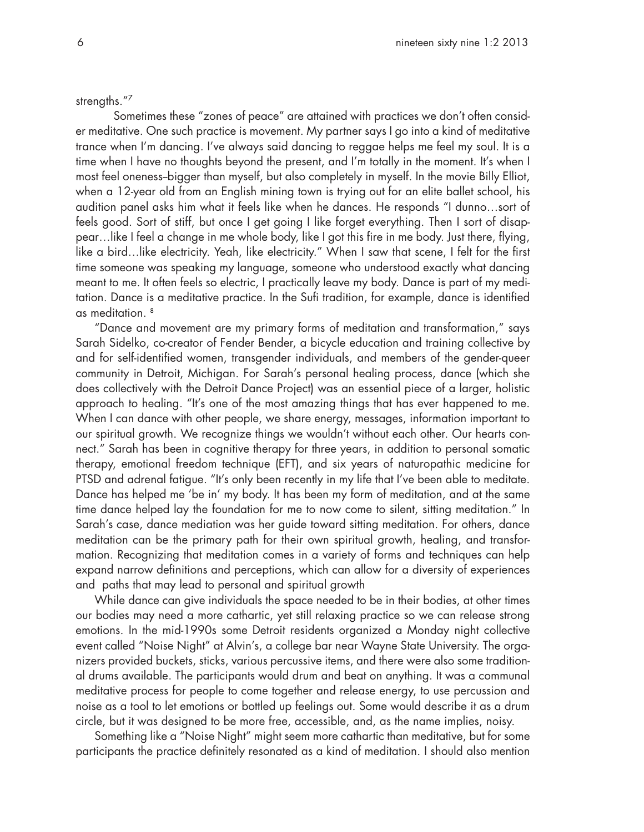strengths."7

Sometimes these "zones of peace" are attained with practices we don't often consider meditative. One such practice is movement. My partner says I go into a kind of meditative trance when I'm dancing. I've always said dancing to reggae helps me feel my soul. It is a time when I have no thoughts beyond the present, and I'm totally in the moment. It's when I most feel oneness-bigger than myself, but also completely in myself. In the movie Billy Elliot, when a 12-year old from an English mining town is trying out for an elite ballet school, his audition panel asks him what it feels like when he dances. He responds "I dunno…sort of feels good. Sort of stiff, but once I get going I like forget everything. Then I sort of disappear…like I feel a change in me whole body, like I got this fire in me body. Just there, flying, like a bird…like electricity. Yeah, like electricity." When I saw that scene, I felt for the first time someone was speaking my language, someone who understood exactly what dancing meant to me. It often feels so electric, I practically leave my body. Dance is part of my meditation. Dance is a meditative practice. In the Sufi tradition, for example, dance is identified as meditation. 8

"Dance and movement are my primary forms of meditation and transformation," says Sarah Sidelko, co-creator of Fender Bender, a bicycle education and training collective by and for self-identified women, transgender individuals, and members of the gender-queer community in Detroit, Michigan. For Sarah's personal healing process, dance (which she does collectively with the Detroit Dance Project) was an essential piece of a larger, holistic approach to healing. "It's one of the most amazing things that has ever happened to me. When I can dance with other people, we share energy, messages, information important to our spiritual growth. We recognize things we wouldn't without each other. Our hearts connect." Sarah has been in cognitive therapy for three years, in addition to personal somatic therapy, emotional freedom technique (EFT), and six years of naturopathic medicine for PTSD and adrenal fatigue. "It's only been recently in my life that I've been able to meditate. Dance has helped me 'be in' my body. It has been my form of meditation, and at the same time dance helped lay the foundation for me to now come to silent, sitting meditation." In Sarah's case, dance mediation was her guide toward sitting meditation. For others, dance meditation can be the primary path for their own spiritual growth, healing, and transformation. Recognizing that meditation comes in a variety of forms and techniques can help expand narrow definitions and perceptions, which can allow for a diversity of experiences and paths that may lead to personal and spiritual growth

While dance can give individuals the space needed to be in their bodies, at other times our bodies may need a more cathartic, yet still relaxing practice so we can release strong emotions. In the mid-1990s some Detroit residents organized a Monday night collective event called "Noise Night" at Alvin's, a college bar near Wayne State University. The organizers provided buckets, sticks, various percussive items, and there were also some traditional drums available. The participants would drum and beat on anything. It was a communal meditative process for people to come together and release energy, to use percussion and noise as a tool to let emotions or bottled up feelings out. Some would describe it as a drum circle, but it was designed to be more free, accessible, and, as the name implies, noisy.

Something like a "Noise Night" might seem more cathartic than meditative, but for some participants the practice definitely resonated as a kind of meditation. I should also mention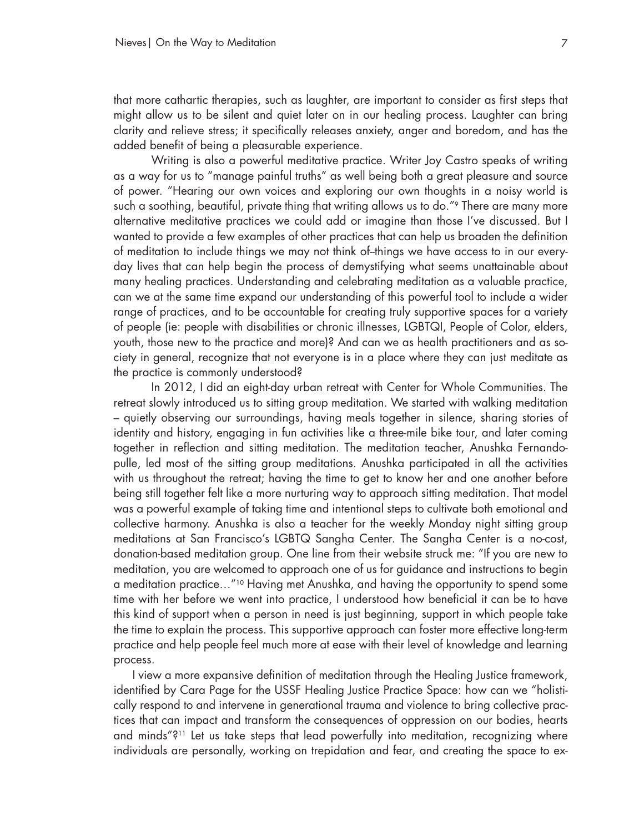that more cathartic therapies, such as laughter, are important to consider as first steps that might allow us to be silent and quiet later on in our healing process. Laughter can bring clarity and relieve stress; it specifically releases anxiety, anger and boredom, and has the added benefit of being a pleasurable experience.

Writing is also a powerful meditative practice. Writer Joy Castro speaks of writing as a way for us to "manage painful truths" as well being both a great pleasure and source of power. "Hearing our own voices and exploring our own thoughts in a noisy world is such a soothing, beautiful, private thing that writing allows us to do."<sup>9</sup> There are many more alternative meditative practices we could add or imagine than those I've discussed. But I wanted to provide a few examples of other practices that can help us broaden the definition of meditation to include things we may not think of--things we have access to in our everyday lives that can help begin the process of demystifying what seems unattainable about many healing practices. Understanding and celebrating meditation as a valuable practice, can we at the same time expand our understanding of this powerful tool to include a wider range of practices, and to be accountable for creating truly supportive spaces for a variety of people (ie: people with disabilities or chronic illnesses, LGBTQI, People of Color, elders, youth, those new to the practice and more)? And can we as health practitioners and as society in general, recognize that not everyone is in a place where they can just meditate as the practice is commonly understood?

In 2012, I did an eight-day urban retreat with Center for Whole Communities. The retreat slowly introduced us to sitting group meditation. We started with walking meditation – quietly observing our surroundings, having meals together in silence, sharing stories of identity and history, engaging in fun activities like a three-mile bike tour, and later coming together in reflection and sitting meditation. The meditation teacher, Anushka Fernandopulle, led most of the sitting group meditations. Anushka participated in all the activities with us throughout the retreat; having the time to get to know her and one another before being still together felt like a more nurturing way to approach sitting meditation. That model was a powerful example of taking time and intentional steps to cultivate both emotional and collective harmony. Anushka is also a teacher for the weekly Monday night sitting group meditations at San Francisco's LGBTQ Sangha Center. The Sangha Center is a no-cost, donation-based meditation group. One line from their website struck me: "If you are new to meditation, you are welcomed to approach one of us for guidance and instructions to begin a meditation practice…"10 Having met Anushka, and having the opportunity to spend some time with her before we went into practice, I understood how beneficial it can be to have this kind of support when a person in need is just beginning, support in which people take the time to explain the process. This supportive approach can foster more effective long-term practice and help people feel much more at ease with their level of knowledge and learning process.

I view a more expansive definition of meditation through the Healing Justice framework, identified by Cara Page for the USSF Healing Justice Practice Space: how can we "holistically respond to and intervene in generational trauma and violence to bring collective practices that can impact and transform the consequences of oppression on our bodies, hearts and minds"?11 Let us take steps that lead powerfully into meditation, recognizing where individuals are personally, working on trepidation and fear, and creating the space to ex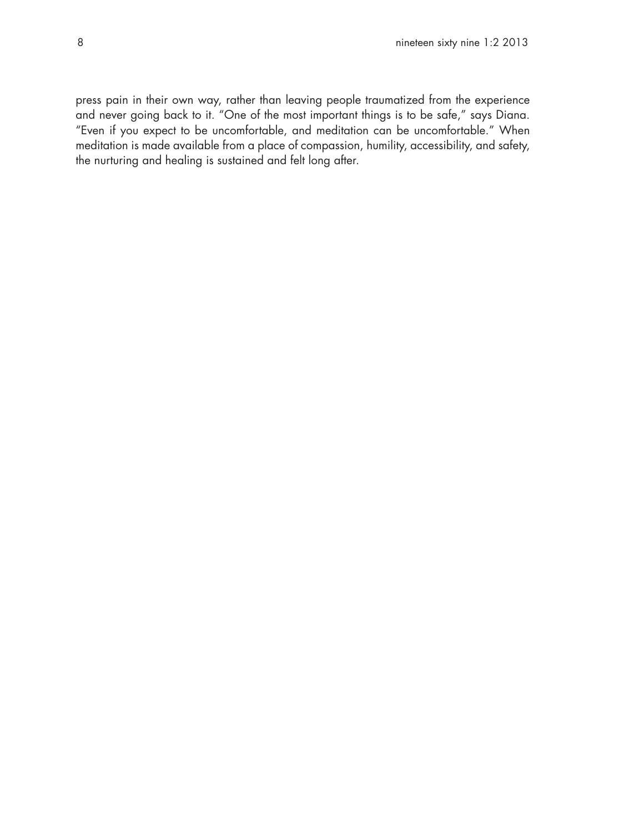press pain in their own way, rather than leaving people traumatized from the experience and never going back to it. "One of the most important things is to be safe," says Diana. "Even if you expect to be uncomfortable, and meditation can be uncomfortable." When meditation is made available from a place of compassion, humility, accessibility, and safety, the nurturing and healing is sustained and felt long after.